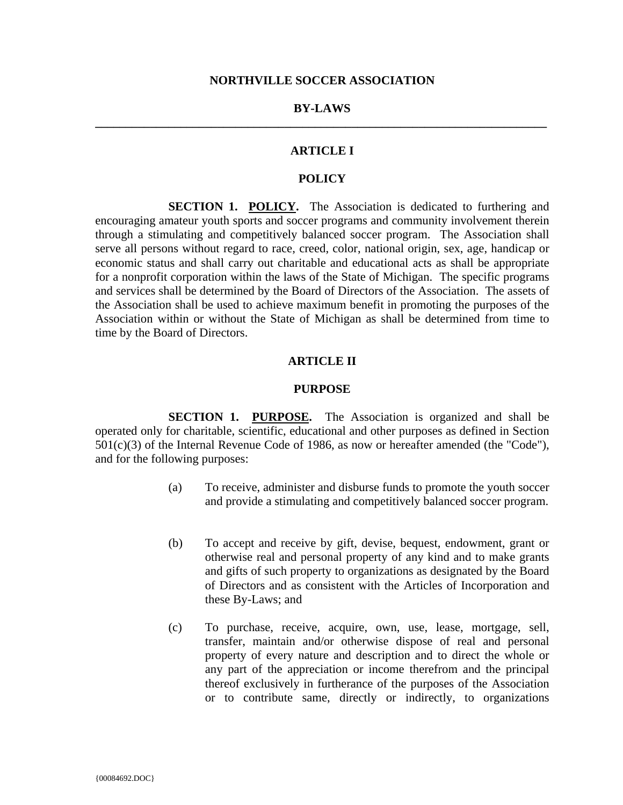# **BY-LAWS \_\_\_\_\_\_\_\_\_\_\_\_\_\_\_\_\_\_\_\_\_\_\_\_\_\_\_\_\_\_\_\_\_\_\_\_\_\_\_\_\_\_\_\_\_\_\_\_\_\_\_\_\_\_\_\_\_\_\_\_\_\_\_\_\_\_\_\_\_\_\_\_\_\_**

# **ARTICLE I**

# **POLICY**

**SECTION 1. POLICY.** The Association is dedicated to furthering and encouraging amateur youth sports and soccer programs and community involvement therein through a stimulating and competitively balanced soccer program. The Association shall serve all persons without regard to race, creed, color, national origin, sex, age, handicap or economic status and shall carry out charitable and educational acts as shall be appropriate for a nonprofit corporation within the laws of the State of Michigan. The specific programs and services shall be determined by the Board of Directors of the Association. The assets of the Association shall be used to achieve maximum benefit in promoting the purposes of the Association within or without the State of Michigan as shall be determined from time to time by the Board of Directors.

### **ARTICLE II**

#### **PURPOSE**

**SECTION 1. PURPOSE.** The Association is organized and shall be operated only for charitable, scientific, educational and other purposes as defined in Section 501(c)(3) of the Internal Revenue Code of 1986, as now or hereafter amended (the "Code"), and for the following purposes:

- (a) To receive, administer and disburse funds to promote the youth soccer and provide a stimulating and competitively balanced soccer program.
- (b) To accept and receive by gift, devise, bequest, endowment, grant or otherwise real and personal property of any kind and to make grants and gifts of such property to organizations as designated by the Board of Directors and as consistent with the Articles of Incorporation and these By-Laws; and
- (c) To purchase, receive, acquire, own, use, lease, mortgage, sell, transfer, maintain and/or otherwise dispose of real and personal property of every nature and description and to direct the whole or any part of the appreciation or income therefrom and the principal thereof exclusively in furtherance of the purposes of the Association or to contribute same, directly or indirectly, to organizations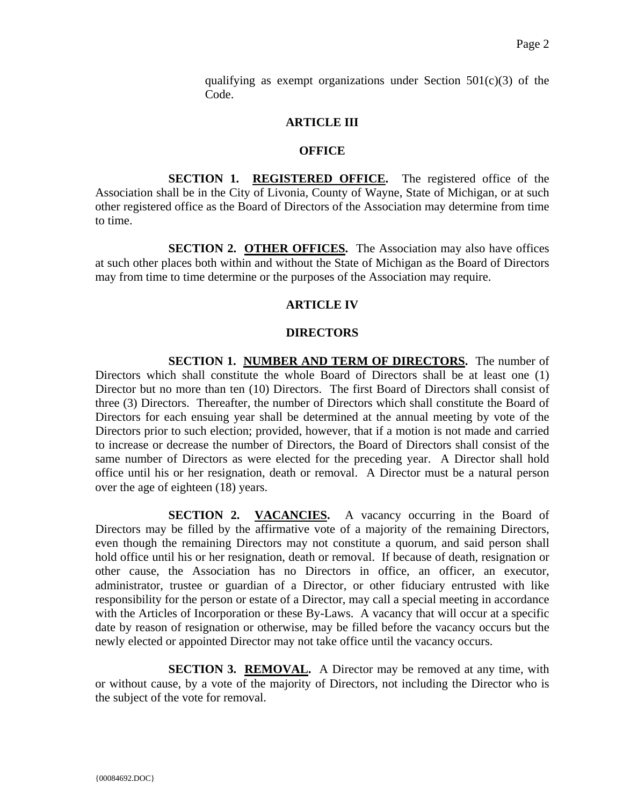qualifying as exempt organizations under Section  $501(c)(3)$  of the Code.

## **ARTICLE III**

## **OFFICE**

**SECTION 1. REGISTERED OFFICE.** The registered office of the Association shall be in the City of Livonia, County of Wayne, State of Michigan, or at such other registered office as the Board of Directors of the Association may determine from time to time.

**SECTION 2. OTHER OFFICES.** The Association may also have offices at such other places both within and without the State of Michigan as the Board of Directors may from time to time determine or the purposes of the Association may require.

# **ARTICLE IV**

# **DIRECTORS**

**SECTION 1. NUMBER AND TERM OF DIRECTORS.** The number of Directors which shall constitute the whole Board of Directors shall be at least one (1) Director but no more than ten (10) Directors. The first Board of Directors shall consist of three (3) Directors. Thereafter, the number of Directors which shall constitute the Board of Directors for each ensuing year shall be determined at the annual meeting by vote of the Directors prior to such election; provided, however, that if a motion is not made and carried to increase or decrease the number of Directors, the Board of Directors shall consist of the same number of Directors as were elected for the preceding year. A Director shall hold office until his or her resignation, death or removal. A Director must be a natural person over the age of eighteen (18) years.

**SECTION 2. VACANCIES.** A vacancy occurring in the Board of Directors may be filled by the affirmative vote of a majority of the remaining Directors, even though the remaining Directors may not constitute a quorum, and said person shall hold office until his or her resignation, death or removal. If because of death, resignation or other cause, the Association has no Directors in office, an officer, an executor, administrator, trustee or guardian of a Director, or other fiduciary entrusted with like responsibility for the person or estate of a Director, may call a special meeting in accordance with the Articles of Incorporation or these By-Laws. A vacancy that will occur at a specific date by reason of resignation or otherwise, may be filled before the vacancy occurs but the newly elected or appointed Director may not take office until the vacancy occurs.

**SECTION 3. REMOVAL.** A Director may be removed at any time, with or without cause, by a vote of the majority of Directors, not including the Director who is the subject of the vote for removal.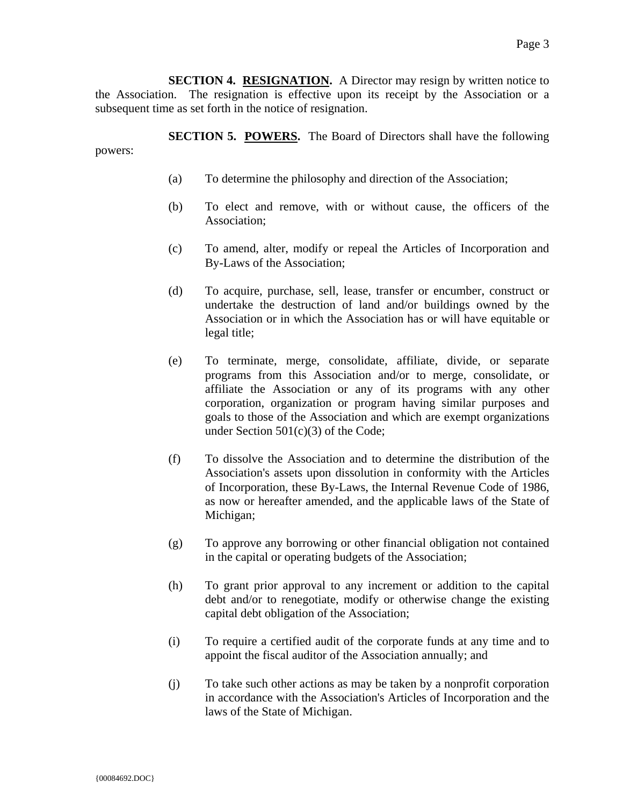**SECTION 4. RESIGNATION.** A Director may resign by written notice to the Association. The resignation is effective upon its receipt by the Association or a subsequent time as set forth in the notice of resignation.

**SECTION 5. POWERS.** The Board of Directors shall have the following powers:

- (a) To determine the philosophy and direction of the Association;
- (b) To elect and remove, with or without cause, the officers of the Association;
- (c) To amend, alter, modify or repeal the Articles of Incorporation and By-Laws of the Association;
- (d) To acquire, purchase, sell, lease, transfer or encumber, construct or undertake the destruction of land and/or buildings owned by the Association or in which the Association has or will have equitable or legal title;
- (e) To terminate, merge, consolidate, affiliate, divide, or separate programs from this Association and/or to merge, consolidate, or affiliate the Association or any of its programs with any other corporation, organization or program having similar purposes and goals to those of the Association and which are exempt organizations under Section 501(c)(3) of the Code;
- (f) To dissolve the Association and to determine the distribution of the Association's assets upon dissolution in conformity with the Articles of Incorporation, these By-Laws, the Internal Revenue Code of 1986, as now or hereafter amended, and the applicable laws of the State of Michigan;
- (g) To approve any borrowing or other financial obligation not contained in the capital or operating budgets of the Association;
- (h) To grant prior approval to any increment or addition to the capital debt and/or to renegotiate, modify or otherwise change the existing capital debt obligation of the Association;
- (i) To require a certified audit of the corporate funds at any time and to appoint the fiscal auditor of the Association annually; and
- (j) To take such other actions as may be taken by a nonprofit corporation in accordance with the Association's Articles of Incorporation and the laws of the State of Michigan.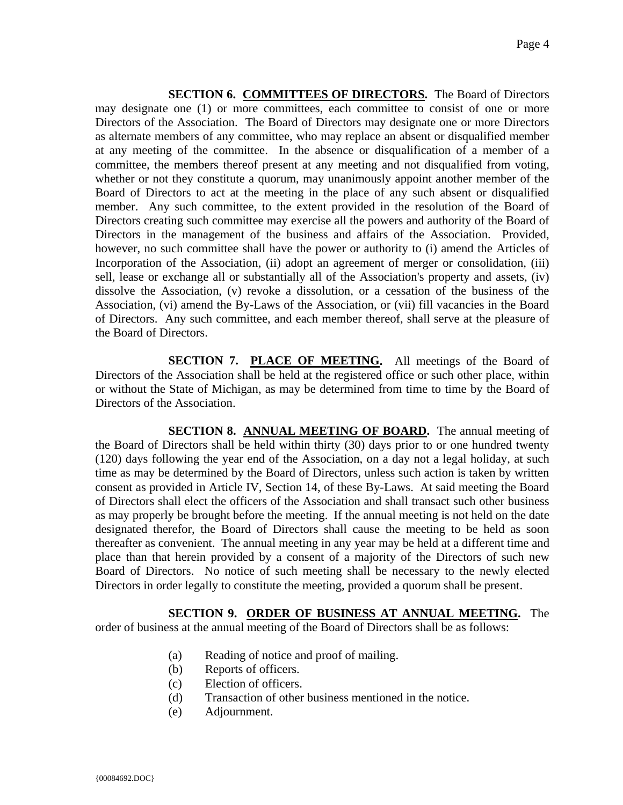**SECTION 6. COMMITTEES OF DIRECTORS.** The Board of Directors may designate one (1) or more committees, each committee to consist of one or more Directors of the Association. The Board of Directors may designate one or more Directors as alternate members of any committee, who may replace an absent or disqualified member at any meeting of the committee. In the absence or disqualification of a member of a committee, the members thereof present at any meeting and not disqualified from voting, whether or not they constitute a quorum, may unanimously appoint another member of the Board of Directors to act at the meeting in the place of any such absent or disqualified member. Any such committee, to the extent provided in the resolution of the Board of Directors creating such committee may exercise all the powers and authority of the Board of Directors in the management of the business and affairs of the Association. Provided, however, no such committee shall have the power or authority to (i) amend the Articles of Incorporation of the Association, (ii) adopt an agreement of merger or consolidation, (iii) sell, lease or exchange all or substantially all of the Association's property and assets, (iv) dissolve the Association, (v) revoke a dissolution, or a cessation of the business of the Association, (vi) amend the By-Laws of the Association, or (vii) fill vacancies in the Board of Directors. Any such committee, and each member thereof, shall serve at the pleasure of the Board of Directors.

**SECTION 7. PLACE OF MEETING.** All meetings of the Board of Directors of the Association shall be held at the registered office or such other place, within or without the State of Michigan, as may be determined from time to time by the Board of Directors of the Association.

**SECTION 8. ANNUAL MEETING OF BOARD.** The annual meeting of the Board of Directors shall be held within thirty (30) days prior to or one hundred twenty (120) days following the year end of the Association, on a day not a legal holiday, at such time as may be determined by the Board of Directors, unless such action is taken by written consent as provided in Article IV, Section 14, of these By-Laws. At said meeting the Board of Directors shall elect the officers of the Association and shall transact such other business as may properly be brought before the meeting. If the annual meeting is not held on the date designated therefor, the Board of Directors shall cause the meeting to be held as soon thereafter as convenient. The annual meeting in any year may be held at a different time and place than that herein provided by a consent of a majority of the Directors of such new Board of Directors. No notice of such meeting shall be necessary to the newly elected Directors in order legally to constitute the meeting, provided a quorum shall be present.

**SECTION 9. ORDER OF BUSINESS AT ANNUAL MEETING.** The order of business at the annual meeting of the Board of Directors shall be as follows:

- (a) Reading of notice and proof of mailing.
- (b) Reports of officers.
- (c) Election of officers.
- (d) Transaction of other business mentioned in the notice.
- (e) Adjournment.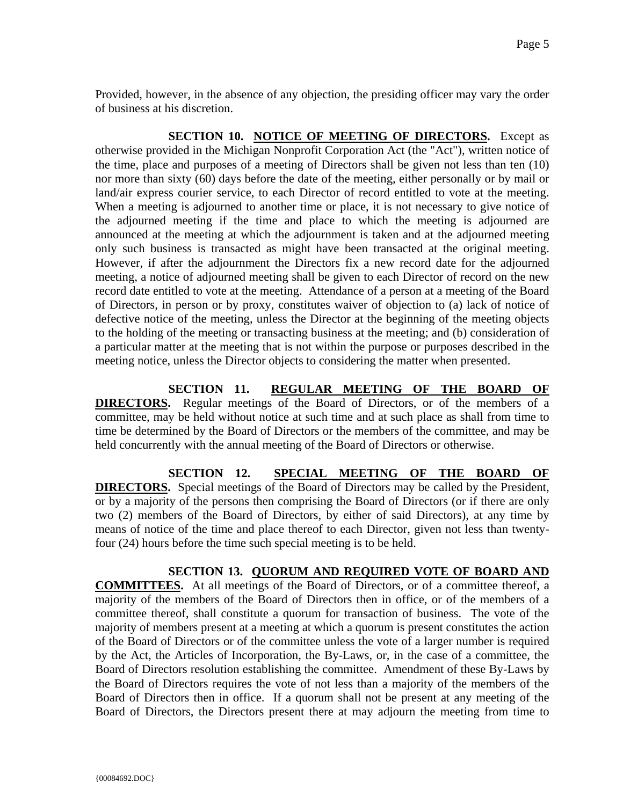Provided, however, in the absence of any objection, the presiding officer may vary the order of business at his discretion.

**SECTION 10. NOTICE OF MEETING OF DIRECTORS.** Except as otherwise provided in the Michigan Nonprofit Corporation Act (the "Act"), written notice of the time, place and purposes of a meeting of Directors shall be given not less than ten (10) nor more than sixty (60) days before the date of the meeting, either personally or by mail or land/air express courier service, to each Director of record entitled to vote at the meeting. When a meeting is adjourned to another time or place, it is not necessary to give notice of the adjourned meeting if the time and place to which the meeting is adjourned are announced at the meeting at which the adjournment is taken and at the adjourned meeting only such business is transacted as might have been transacted at the original meeting. However, if after the adjournment the Directors fix a new record date for the adjourned meeting, a notice of adjourned meeting shall be given to each Director of record on the new record date entitled to vote at the meeting. Attendance of a person at a meeting of the Board of Directors, in person or by proxy, constitutes waiver of objection to (a) lack of notice of defective notice of the meeting, unless the Director at the beginning of the meeting objects to the holding of the meeting or transacting business at the meeting; and (b) consideration of a particular matter at the meeting that is not within the purpose or purposes described in the meeting notice, unless the Director objects to considering the matter when presented.

**SECTION 11. REGULAR MEETING OF THE BOARD OF DIRECTORS.** Regular meetings of the Board of Directors, or of the members of a committee, may be held without notice at such time and at such place as shall from time to time be determined by the Board of Directors or the members of the committee, and may be held concurrently with the annual meeting of the Board of Directors or otherwise.

**SECTION 12. SPECIAL MEETING OF THE BOARD OF DIRECTORS.** Special meetings of the Board of Directors may be called by the President, or by a majority of the persons then comprising the Board of Directors (or if there are only two (2) members of the Board of Directors, by either of said Directors), at any time by means of notice of the time and place thereof to each Director, given not less than twentyfour (24) hours before the time such special meeting is to be held.

### **SECTION 13. QUORUM AND REQUIRED VOTE OF BOARD AND**

**COMMITTEES.** At all meetings of the Board of Directors, or of a committee thereof, a majority of the members of the Board of Directors then in office, or of the members of a committee thereof, shall constitute a quorum for transaction of business. The vote of the majority of members present at a meeting at which a quorum is present constitutes the action of the Board of Directors or of the committee unless the vote of a larger number is required by the Act, the Articles of Incorporation, the By-Laws, or, in the case of a committee, the Board of Directors resolution establishing the committee. Amendment of these By-Laws by the Board of Directors requires the vote of not less than a majority of the members of the Board of Directors then in office. If a quorum shall not be present at any meeting of the Board of Directors, the Directors present there at may adjourn the meeting from time to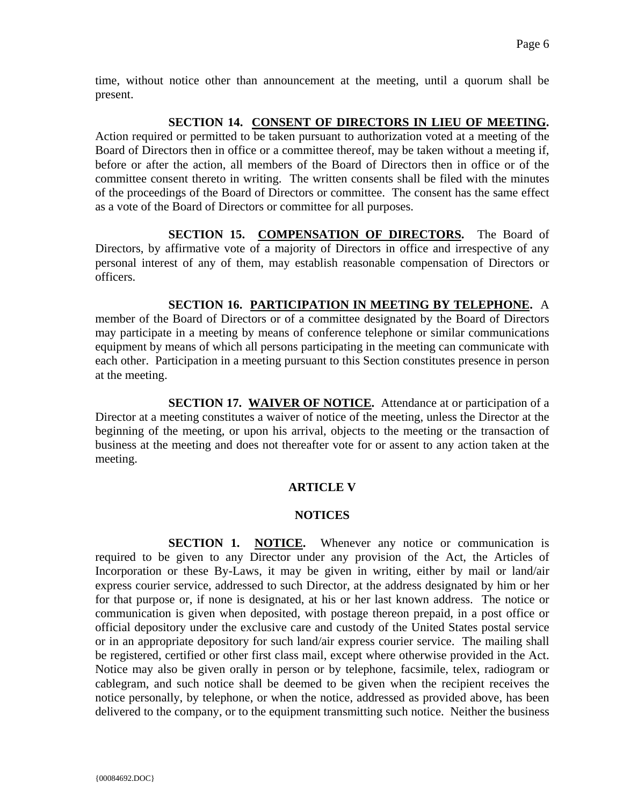time, without notice other than announcement at the meeting, until a quorum shall be present.

# **SECTION 14. CONSENT OF DIRECTORS IN LIEU OF MEETING.**

Action required or permitted to be taken pursuant to authorization voted at a meeting of the Board of Directors then in office or a committee thereof, may be taken without a meeting if, before or after the action, all members of the Board of Directors then in office or of the committee consent thereto in writing. The written consents shall be filed with the minutes of the proceedings of the Board of Directors or committee. The consent has the same effect as a vote of the Board of Directors or committee for all purposes.

**SECTION 15. COMPENSATION OF DIRECTORS.** The Board of Directors, by affirmative vote of a majority of Directors in office and irrespective of any personal interest of any of them, may establish reasonable compensation of Directors or officers.

## **SECTION 16. PARTICIPATION IN MEETING BY TELEPHONE.** A

member of the Board of Directors or of a committee designated by the Board of Directors may participate in a meeting by means of conference telephone or similar communications equipment by means of which all persons participating in the meeting can communicate with each other. Participation in a meeting pursuant to this Section constitutes presence in person at the meeting.

**SECTION 17. WAIVER OF NOTICE.** Attendance at or participation of a Director at a meeting constitutes a waiver of notice of the meeting, unless the Director at the beginning of the meeting, or upon his arrival, objects to the meeting or the transaction of business at the meeting and does not thereafter vote for or assent to any action taken at the meeting.

## **ARTICLE V**

### **NOTICES**

**SECTION 1. NOTICE.** Whenever any notice or communication is required to be given to any Director under any provision of the Act, the Articles of Incorporation or these By-Laws, it may be given in writing, either by mail or land/air express courier service, addressed to such Director, at the address designated by him or her for that purpose or, if none is designated, at his or her last known address. The notice or communication is given when deposited, with postage thereon prepaid, in a post office or official depository under the exclusive care and custody of the United States postal service or in an appropriate depository for such land/air express courier service. The mailing shall be registered, certified or other first class mail, except where otherwise provided in the Act. Notice may also be given orally in person or by telephone, facsimile, telex, radiogram or cablegram, and such notice shall be deemed to be given when the recipient receives the notice personally, by telephone, or when the notice, addressed as provided above, has been delivered to the company, or to the equipment transmitting such notice. Neither the business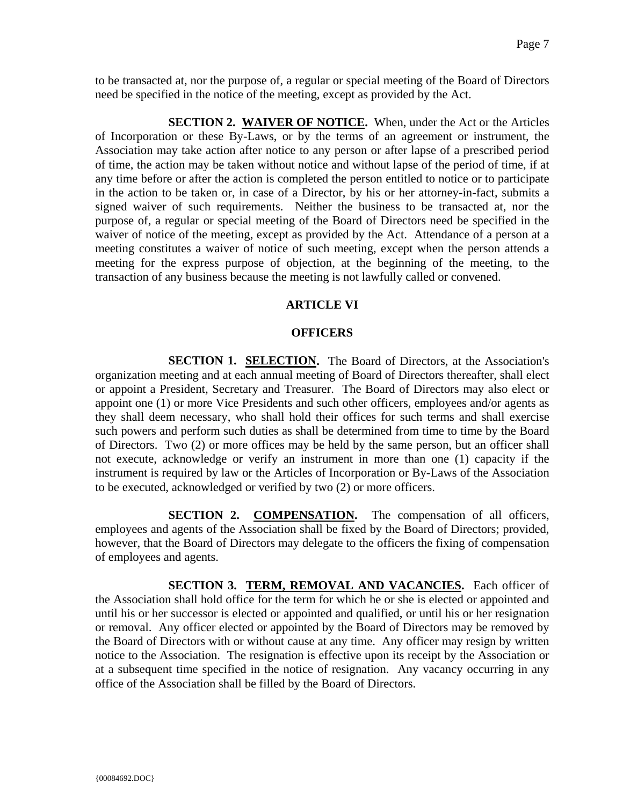to be transacted at, nor the purpose of, a regular or special meeting of the Board of Directors need be specified in the notice of the meeting, except as provided by the Act.

**SECTION 2. WAIVER OF NOTICE.** When, under the Act or the Articles of Incorporation or these By-Laws, or by the terms of an agreement or instrument, the Association may take action after notice to any person or after lapse of a prescribed period of time, the action may be taken without notice and without lapse of the period of time, if at any time before or after the action is completed the person entitled to notice or to participate in the action to be taken or, in case of a Director, by his or her attorney-in-fact, submits a signed waiver of such requirements. Neither the business to be transacted at, nor the purpose of, a regular or special meeting of the Board of Directors need be specified in the waiver of notice of the meeting, except as provided by the Act. Attendance of a person at a meeting constitutes a waiver of notice of such meeting, except when the person attends a meeting for the express purpose of objection, at the beginning of the meeting, to the transaction of any business because the meeting is not lawfully called or convened.

### **ARTICLE VI**

#### **OFFICERS**

**SECTION 1. SELECTION.** The Board of Directors, at the Association's organization meeting and at each annual meeting of Board of Directors thereafter, shall elect or appoint a President, Secretary and Treasurer. The Board of Directors may also elect or appoint one (1) or more Vice Presidents and such other officers, employees and/or agents as they shall deem necessary, who shall hold their offices for such terms and shall exercise such powers and perform such duties as shall be determined from time to time by the Board of Directors. Two (2) or more offices may be held by the same person, but an officer shall not execute, acknowledge or verify an instrument in more than one (1) capacity if the instrument is required by law or the Articles of Incorporation or By-Laws of the Association to be executed, acknowledged or verified by two (2) or more officers.

**SECTION 2. COMPENSATION.** The compensation of all officers, employees and agents of the Association shall be fixed by the Board of Directors; provided, however, that the Board of Directors may delegate to the officers the fixing of compensation of employees and agents.

**SECTION 3. TERM, REMOVAL AND VACANCIES.** Each officer of the Association shall hold office for the term for which he or she is elected or appointed and until his or her successor is elected or appointed and qualified, or until his or her resignation or removal. Any officer elected or appointed by the Board of Directors may be removed by the Board of Directors with or without cause at any time. Any officer may resign by written notice to the Association. The resignation is effective upon its receipt by the Association or at a subsequent time specified in the notice of resignation. Any vacancy occurring in any office of the Association shall be filled by the Board of Directors.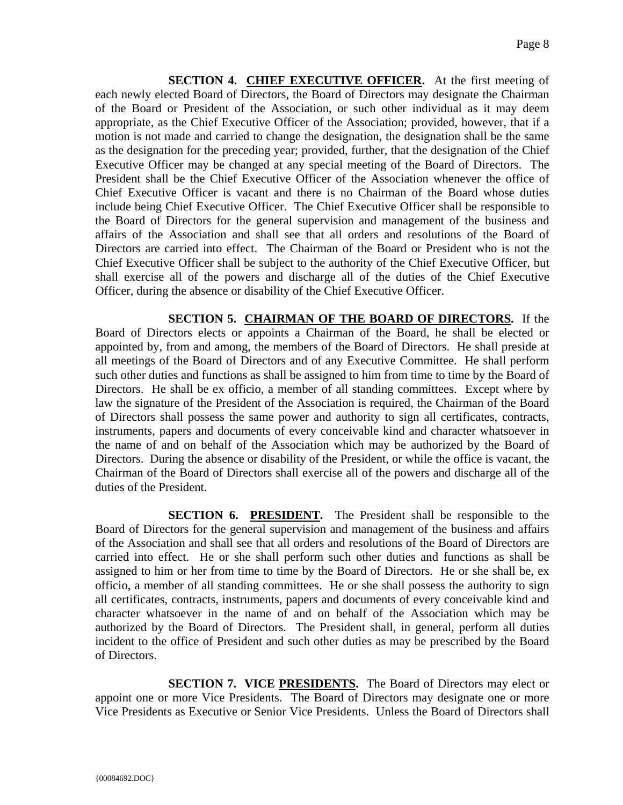**SECTION 4. CHIEF EXECUTIVE OFFICER.** At the first meeting of each newly elected Board of Directors, the Board of Directors may designate the Chairman of the Board or President of the Association, or such other individual as it may deem appropriate, as the Chief Executive Officer of the Association; provided, however, that if a motion is not made and carried to change the designation, the designation shall be the same as the designation for the preceding year; provided, further, that the designation of the Chief Executive Officer may be changed at any special meeting of the Board of Directors. The President shall be the Chief Executive Officer of the Association whenever the office of Chief Executive Officer is vacant and there is no Chairman of the Board whose duties include being Chief Executive Officer. The Chief Executive Officer shall be responsible to the Board of Directors for the general supervision and management of the business and affairs of the Association and shall see that all orders and resolutions of the Board of Directors are carried into effect. The Chairman of the Board or President who is not the Chief Executive Officer shall be subject to the authority of the Chief Executive Officer, but shall exercise all of the powers and discharge all of the duties of the Chief Executive Officer, during the absence or disability of the Chief Executive Officer.

**SECTION 5. CHAIRMAN OF THE BOARD OF DIRECTORS.** If the Board of Directors elects or appoints a Chairman of the Board, he shall be elected or appointed by, from and among, the members of the Board of Directors. He shall preside at all meetings of the Board of Directors and of any Executive Committee. He shall perform such other duties and functions as shall be assigned to him from time to time by the Board of Directors. He shall be ex officio, a member of all standing committees. Except where by law the signature of the President of the Association is required, the Chairman of the Board of Directors shall possess the same power and authority to sign all certificates, contracts, instruments, papers and documents of every conceivable kind and character whatsoever in the name of and on behalf of the Association which may be authorized by the Board of Directors. During the absence or disability of the President, or while the office is vacant, the Chairman of the Board of Directors shall exercise all of the powers and discharge all of the duties of the President.

**SECTION 6. PRESIDENT.** The President shall be responsible to the Board of Directors for the general supervision and management of the business and affairs of the Association and shall see that all orders and resolutions of the Board of Directors are carried into effect. He or she shall perform such other duties and functions as shall be assigned to him or her from time to time by the Board of Directors. He or she shall be, ex officio, a member of all standing committees. He or she shall possess the authority to sign all certificates, contracts, instruments, papers and documents of every conceivable kind and character whatsoever in the name of and on behalf of the Association which may be authorized by the Board of Directors. The President shall, in general, perform all duties incident to the office of President and such other duties as may be prescribed by the Board of Directors.

**SECTION 7. VICE PRESIDENTS.** The Board of Directors may elect or appoint one or more Vice Presidents. The Board of Directors may designate one or more Vice Presidents as Executive or Senior Vice Presidents. Unless the Board of Directors shall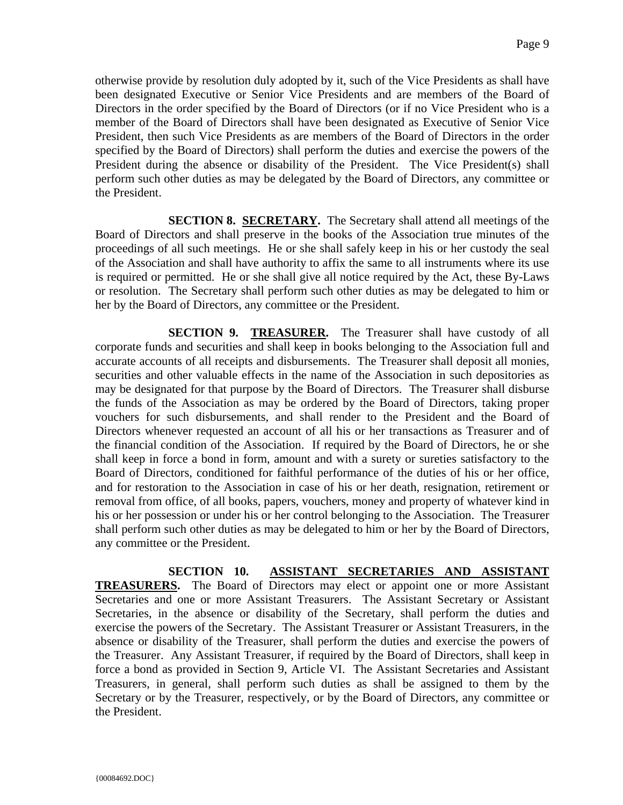otherwise provide by resolution duly adopted by it, such of the Vice Presidents as shall have been designated Executive or Senior Vice Presidents and are members of the Board of Directors in the order specified by the Board of Directors (or if no Vice President who is a member of the Board of Directors shall have been designated as Executive of Senior Vice President, then such Vice Presidents as are members of the Board of Directors in the order specified by the Board of Directors) shall perform the duties and exercise the powers of the President during the absence or disability of the President. The Vice President(s) shall perform such other duties as may be delegated by the Board of Directors, any committee or the President.

**SECTION 8. SECRETARY.** The Secretary shall attend all meetings of the Board of Directors and shall preserve in the books of the Association true minutes of the proceedings of all such meetings. He or she shall safely keep in his or her custody the seal of the Association and shall have authority to affix the same to all instruments where its use is required or permitted. He or she shall give all notice required by the Act, these By-Laws or resolution. The Secretary shall perform such other duties as may be delegated to him or her by the Board of Directors, any committee or the President.

**SECTION 9. TREASURER.** The Treasurer shall have custody of all corporate funds and securities and shall keep in books belonging to the Association full and accurate accounts of all receipts and disbursements. The Treasurer shall deposit all monies, securities and other valuable effects in the name of the Association in such depositories as may be designated for that purpose by the Board of Directors. The Treasurer shall disburse the funds of the Association as may be ordered by the Board of Directors, taking proper vouchers for such disbursements, and shall render to the President and the Board of Directors whenever requested an account of all his or her transactions as Treasurer and of the financial condition of the Association. If required by the Board of Directors, he or she shall keep in force a bond in form, amount and with a surety or sureties satisfactory to the Board of Directors, conditioned for faithful performance of the duties of his or her office, and for restoration to the Association in case of his or her death, resignation, retirement or removal from office, of all books, papers, vouchers, money and property of whatever kind in his or her possession or under his or her control belonging to the Association. The Treasurer shall perform such other duties as may be delegated to him or her by the Board of Directors, any committee or the President.

**SECTION 10. ASSISTANT SECRETARIES AND ASSISTANT TREASURERS.** The Board of Directors may elect or appoint one or more Assistant Secretaries and one or more Assistant Treasurers. The Assistant Secretary or Assistant Secretaries, in the absence or disability of the Secretary, shall perform the duties and exercise the powers of the Secretary. The Assistant Treasurer or Assistant Treasurers, in the absence or disability of the Treasurer, shall perform the duties and exercise the powers of the Treasurer. Any Assistant Treasurer, if required by the Board of Directors, shall keep in force a bond as provided in Section 9, Article VI. The Assistant Secretaries and Assistant Treasurers, in general, shall perform such duties as shall be assigned to them by the Secretary or by the Treasurer, respectively, or by the Board of Directors, any committee or the President.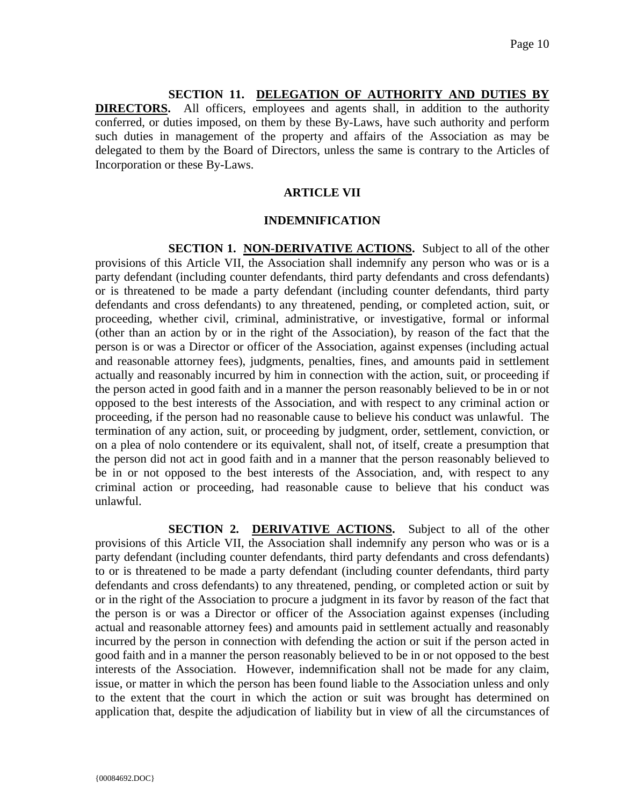## **SECTION 11. DELEGATION OF AUTHORITY AND DUTIES BY**

**DIRECTORS.** All officers, employees and agents shall, in addition to the authority conferred, or duties imposed, on them by these By-Laws, have such authority and perform such duties in management of the property and affairs of the Association as may be delegated to them by the Board of Directors, unless the same is contrary to the Articles of Incorporation or these By-Laws.

# **ARTICLE VII**

### **INDEMNIFICATION**

**SECTION 1. NON-DERIVATIVE ACTIONS.** Subject to all of the other provisions of this Article VII, the Association shall indemnify any person who was or is a party defendant (including counter defendants, third party defendants and cross defendants) or is threatened to be made a party defendant (including counter defendants, third party defendants and cross defendants) to any threatened, pending, or completed action, suit, or proceeding, whether civil, criminal, administrative, or investigative, formal or informal (other than an action by or in the right of the Association), by reason of the fact that the person is or was a Director or officer of the Association, against expenses (including actual and reasonable attorney fees), judgments, penalties, fines, and amounts paid in settlement actually and reasonably incurred by him in connection with the action, suit, or proceeding if the person acted in good faith and in a manner the person reasonably believed to be in or not opposed to the best interests of the Association, and with respect to any criminal action or proceeding, if the person had no reasonable cause to believe his conduct was unlawful. The termination of any action, suit, or proceeding by judgment, order, settlement, conviction, or on a plea of nolo contendere or its equivalent, shall not, of itself, create a presumption that the person did not act in good faith and in a manner that the person reasonably believed to be in or not opposed to the best interests of the Association, and, with respect to any criminal action or proceeding, had reasonable cause to believe that his conduct was unlawful.

**SECTION 2. DERIVATIVE ACTIONS.** Subject to all of the other provisions of this Article VII, the Association shall indemnify any person who was or is a party defendant (including counter defendants, third party defendants and cross defendants) to or is threatened to be made a party defendant (including counter defendants, third party defendants and cross defendants) to any threatened, pending, or completed action or suit by or in the right of the Association to procure a judgment in its favor by reason of the fact that the person is or was a Director or officer of the Association against expenses (including actual and reasonable attorney fees) and amounts paid in settlement actually and reasonably incurred by the person in connection with defending the action or suit if the person acted in good faith and in a manner the person reasonably believed to be in or not opposed to the best interests of the Association. However, indemnification shall not be made for any claim, issue, or matter in which the person has been found liable to the Association unless and only to the extent that the court in which the action or suit was brought has determined on application that, despite the adjudication of liability but in view of all the circumstances of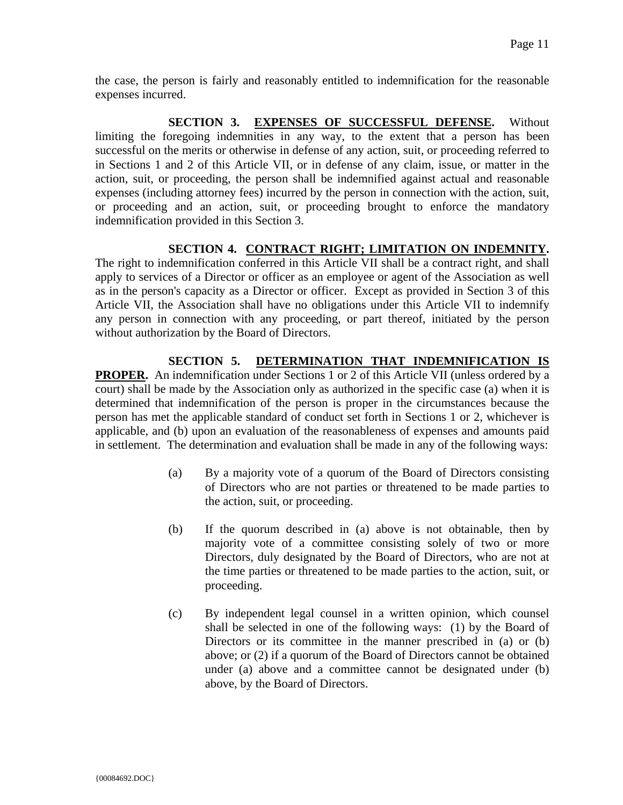the case, the person is fairly and reasonably entitled to indemnification for the reasonable expenses incurred.

SECTION 3. EXPENSES OF SUCCESSFUL DEFENSE. Without limiting the foregoing indemnities in any way, to the extent that a person has been successful on the merits or otherwise in defense of any action, suit, or proceeding referred to in Sections 1 and 2 of this Article VII, or in defense of any claim, issue, or matter in the action, suit, or proceeding, the person shall be indemnified against actual and reasonable expenses (including attorney fees) incurred by the person in connection with the action, suit, or proceeding and an action, suit, or proceeding brought to enforce the mandatory indemnification provided in this Section 3.

# **SECTION 4. CONTRACT RIGHT; LIMITATION ON INDEMNITY.**

The right to indemnification conferred in this Article VII shall be a contract right, and shall apply to services of a Director or officer as an employee or agent of the Association as well as in the person's capacity as a Director or officer. Except as provided in Section 3 of this Article VII, the Association shall have no obligations under this Article VII to indemnify any person in connection with any proceeding, or part thereof, initiated by the person without authorization by the Board of Directors.

# **SECTION 5. DETERMINATION THAT INDEMNIFICATION IS**

**PROPER.** An indemnification under Sections 1 or 2 of this Article VII (unless ordered by a court) shall be made by the Association only as authorized in the specific case (a) when it is determined that indemnification of the person is proper in the circumstances because the person has met the applicable standard of conduct set forth in Sections 1 or 2, whichever is applicable, and (b) upon an evaluation of the reasonableness of expenses and amounts paid in settlement. The determination and evaluation shall be made in any of the following ways:

- (a) By a majority vote of a quorum of the Board of Directors consisting of Directors who are not parties or threatened to be made parties to the action, suit, or proceeding.
- (b) If the quorum described in (a) above is not obtainable, then by majority vote of a committee consisting solely of two or more Directors, duly designated by the Board of Directors, who are not at the time parties or threatened to be made parties to the action, suit, or proceeding.
- (c) By independent legal counsel in a written opinion, which counsel shall be selected in one of the following ways: (1) by the Board of Directors or its committee in the manner prescribed in (a) or (b) above; or (2) if a quorum of the Board of Directors cannot be obtained under (a) above and a committee cannot be designated under (b) above, by the Board of Directors.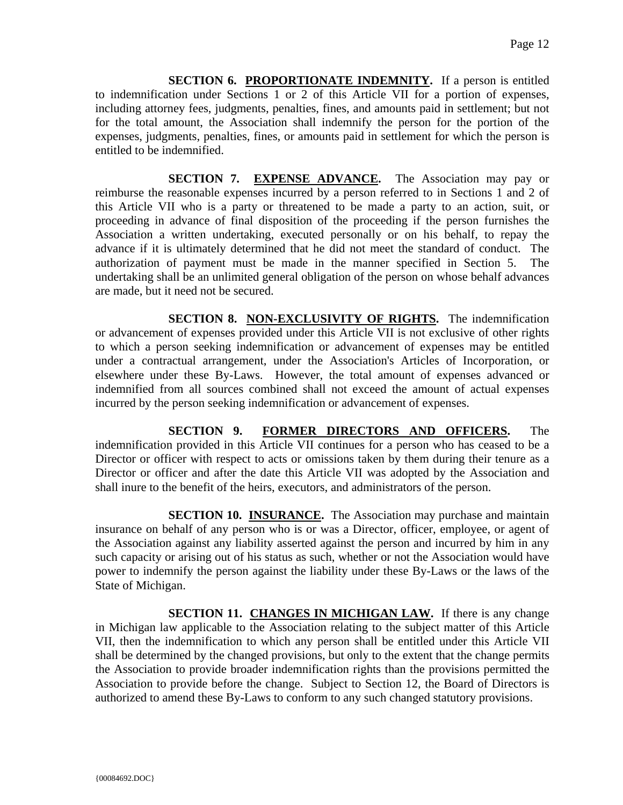**SECTION 6. PROPORTIONATE INDEMNITY.** If a person is entitled to indemnification under Sections 1 or 2 of this Article VII for a portion of expenses, including attorney fees, judgments, penalties, fines, and amounts paid in settlement; but not for the total amount, the Association shall indemnify the person for the portion of the expenses, judgments, penalties, fines, or amounts paid in settlement for which the person is entitled to be indemnified.

**SECTION 7. EXPENSE ADVANCE.** The Association may pay or reimburse the reasonable expenses incurred by a person referred to in Sections 1 and 2 of this Article VII who is a party or threatened to be made a party to an action, suit, or proceeding in advance of final disposition of the proceeding if the person furnishes the Association a written undertaking, executed personally or on his behalf, to repay the advance if it is ultimately determined that he did not meet the standard of conduct. The authorization of payment must be made in the manner specified in Section 5. The undertaking shall be an unlimited general obligation of the person on whose behalf advances are made, but it need not be secured.

**SECTION 8. NON-EXCLUSIVITY OF RIGHTS.** The indemnification or advancement of expenses provided under this Article VII is not exclusive of other rights to which a person seeking indemnification or advancement of expenses may be entitled under a contractual arrangement, under the Association's Articles of Incorporation, or elsewhere under these By-Laws. However, the total amount of expenses advanced or indemnified from all sources combined shall not exceed the amount of actual expenses incurred by the person seeking indemnification or advancement of expenses.

**SECTION 9. FORMER DIRECTORS AND OFFICERS.** The indemnification provided in this Article VII continues for a person who has ceased to be a Director or officer with respect to acts or omissions taken by them during their tenure as a Director or officer and after the date this Article VII was adopted by the Association and shall inure to the benefit of the heirs, executors, and administrators of the person.

**SECTION 10. INSURANCE.** The Association may purchase and maintain insurance on behalf of any person who is or was a Director, officer, employee, or agent of the Association against any liability asserted against the person and incurred by him in any such capacity or arising out of his status as such, whether or not the Association would have power to indemnify the person against the liability under these By-Laws or the laws of the State of Michigan.

**SECTION 11. CHANGES IN MICHIGAN LAW.** If there is any change in Michigan law applicable to the Association relating to the subject matter of this Article VII, then the indemnification to which any person shall be entitled under this Article VII shall be determined by the changed provisions, but only to the extent that the change permits the Association to provide broader indemnification rights than the provisions permitted the Association to provide before the change. Subject to Section 12, the Board of Directors is authorized to amend these By-Laws to conform to any such changed statutory provisions.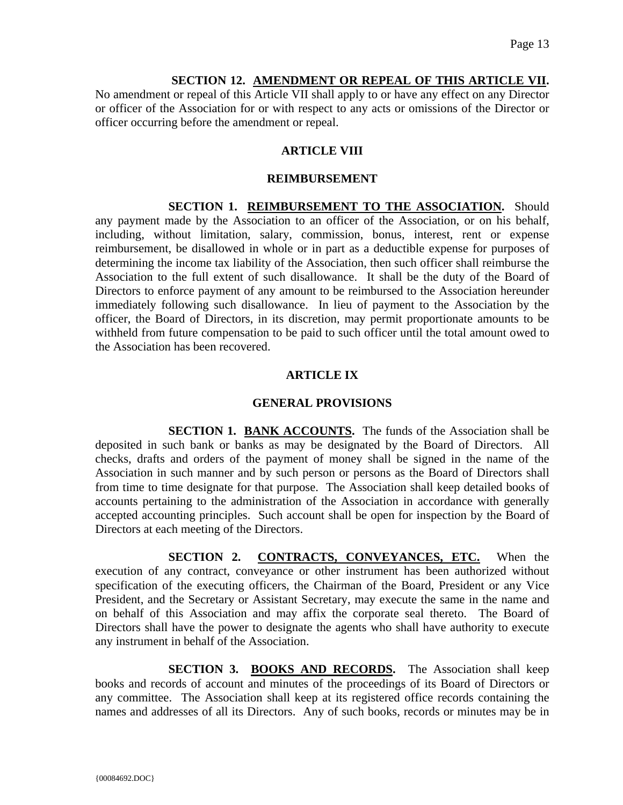## **SECTION 12. AMENDMENT OR REPEAL OF THIS ARTICLE VII.**

No amendment or repeal of this Article VII shall apply to or have any effect on any Director or officer of the Association for or with respect to any acts or omissions of the Director or officer occurring before the amendment or repeal.

# **ARTICLE VIII**

### **REIMBURSEMENT**

**SECTION 1. REIMBURSEMENT TO THE ASSOCIATION.** Should any payment made by the Association to an officer of the Association, or on his behalf, including, without limitation, salary, commission, bonus, interest, rent or expense reimbursement, be disallowed in whole or in part as a deductible expense for purposes of determining the income tax liability of the Association, then such officer shall reimburse the Association to the full extent of such disallowance. It shall be the duty of the Board of Directors to enforce payment of any amount to be reimbursed to the Association hereunder immediately following such disallowance. In lieu of payment to the Association by the officer, the Board of Directors, in its discretion, may permit proportionate amounts to be withheld from future compensation to be paid to such officer until the total amount owed to the Association has been recovered.

# **ARTICLE IX**

# **GENERAL PROVISIONS**

**SECTION 1. BANK ACCOUNTS.** The funds of the Association shall be deposited in such bank or banks as may be designated by the Board of Directors. All checks, drafts and orders of the payment of money shall be signed in the name of the Association in such manner and by such person or persons as the Board of Directors shall from time to time designate for that purpose. The Association shall keep detailed books of accounts pertaining to the administration of the Association in accordance with generally accepted accounting principles. Such account shall be open for inspection by the Board of Directors at each meeting of the Directors.

**SECTION 2. CONTRACTS, CONVEYANCES, ETC.** When the execution of any contract, conveyance or other instrument has been authorized without specification of the executing officers, the Chairman of the Board, President or any Vice President, and the Secretary or Assistant Secretary, may execute the same in the name and on behalf of this Association and may affix the corporate seal thereto. The Board of Directors shall have the power to designate the agents who shall have authority to execute any instrument in behalf of the Association.

**SECTION 3. BOOKS AND RECORDS.** The Association shall keep books and records of account and minutes of the proceedings of its Board of Directors or any committee. The Association shall keep at its registered office records containing the names and addresses of all its Directors. Any of such books, records or minutes may be in